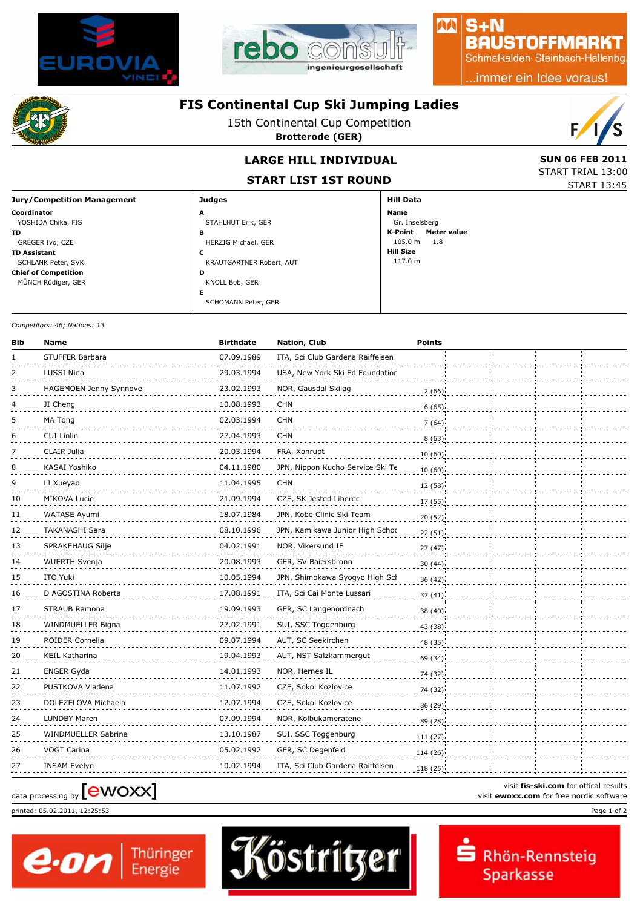



### $S + N$ **BAUSTOFFMARKT**

MA

Schmalkalden Steinbach-Hallenbg

..immer ein Idee voraus!



## **FIS Continental Cup Ski Jumping Ladies**

15th Continental Cup Competition

**Brotterode (GER)**



START TRIAL 13:00 START 13:45

## **LARGE HILL INDIVIDUAL** SUN 06 FEB 2011

**START LIST 1ST ROUND**

| <b>Jury/Competition Management</b> | <b>Judges</b>            | <b>Hill Data</b>              |
|------------------------------------|--------------------------|-------------------------------|
| Coordinator                        | A                        | Name                          |
| YOSHIDA Chika, FIS                 | STAHLHUT Erik, GER       | Gr. Inselsberg                |
| TD.                                | в                        | K-Point<br><b>Meter value</b> |
| GREGER Ivo, CZE                    | HERZIG Michael, GER      | 105.0 m<br>1.8                |
| <b>TD Assistant</b>                | c                        | <b>Hill Size</b>              |
| SCHLANK Peter, SVK                 | KRAUTGARTNER Robert, AUT | 117.0 m                       |
| <b>Chief of Competition</b>        | D                        |                               |
| MÜNCH Rüdiger, GER                 | KNOLL Bob, GER           |                               |
|                                    | Е                        |                               |
|                                    | SCHOMANN Peter, GER      |                               |

#### *Competitors: 46; Nations: 13*

| Bib | Name                          | <b>Birthdate</b> | Nation, Club                     | <b>Points</b> |  |  |
|-----|-------------------------------|------------------|----------------------------------|---------------|--|--|
| 1   | STUFFER Barbara               | 07.09.1989       | ITA, Sci Club Gardena Raiffeisen |               |  |  |
| 2   | LUSSI Nina                    | 29.03.1994       | USA, New York Ski Ed Foundation  |               |  |  |
| 3   | <b>HAGEMOEN Jenny Synnove</b> | 23.02.1993       | NOR, Gausdal Skilag              | 2(66)         |  |  |
| 4   | JI Cheng                      | 10.08.1993       | <b>CHN</b>                       | 6(65)         |  |  |
| 5   | MA Tong                       | 02.03.1994       | <b>CHN</b>                       | 7(64)         |  |  |
| 6   | <b>CUI Linlin</b>             | 27.04.1993       | <b>CHN</b>                       | 8(63)         |  |  |
| 7   | CLAIR Julia                   | 20.03.1994       | FRA, Xonrupt                     | 10(60)        |  |  |
| 8   | KASAI Yoshiko                 | 04.11.1980       | JPN, Nippon Kucho Service Ski Te | 10(60)        |  |  |
| 9   | LI Xueyao                     | 11.04.1995       | <b>CHN</b>                       | 12 (58)       |  |  |
| 10  | MIKOVA Lucie                  | 21.09.1994       | CZE, SK Jested Liberec           | 17 (55)       |  |  |
| 11  | WATASE Ayumi                  | 18.07.1984       | JPN, Kobe Clinic Ski Team        | 20(52)        |  |  |
| 12  | <b>TAKANASHI Sara</b>         | 08.10.1996       | JPN, Kamikawa Junior High Schoc  | 22(51)        |  |  |
| 13  | SPRAKEHAUG Silje              | 04.02.1991       | NOR, Vikersund IF                | 27(47)        |  |  |
| 14  | <b>WUERTH Svenja</b>          | 20.08.1993       | GER, SV Baiersbronn              | 30(44)        |  |  |
| 15  | ITO Yuki                      | 10.05.1994       | JPN, Shimokawa Syogyo High Sch   | 36 (42)       |  |  |
| 16  | D AGOSTINA Roberta            | 17.08.1991       | ITA, Sci Cai Monte Lussari       | 37(41)        |  |  |
| 17  | STRAUB Ramona                 | 19.09.1993       | GER, SC Langenordnach            | 38(40)        |  |  |
| 18  | WINDMUELLER Bigna             | 27.02.1991       | SUI, SSC Toggenburg              | 43 (38)       |  |  |
| 19  | ROIDER Cornelia               | 09.07.1994       | AUT, SC Seekirchen               | 48 (35)       |  |  |
| 20  | <b>KEIL Katharina</b>         | 19.04.1993       | AUT, NST Salzkammergut           | 69 (34)       |  |  |
| 21  | ENGER Gyda                    | 14.01.1993       | NOR, Hernes IL                   | 74 (32)       |  |  |
| 22  | PUSTKOVA Vladena              | 11.07.1992       | CZE, Sokol Kozlovice             | 74 (32)       |  |  |
| 23  | DOLEZELOVA Michaela           | 12.07.1994       | CZE, Sokol Kozlovice             | 86 (29)       |  |  |
| 24  | LUNDBY Maren                  | 07.09.1994       | NOR, Kolbukameratene             | 89 (28)       |  |  |
| 25  | WINDMUELLER Sabrina           | 13.10.1987       | SUI, SSC Toggenburg              | 111(27)       |  |  |
| 26  | VOGT Carina                   | 05.02.1992       | GER, SC Degenfeld                | 114 (26)      |  |  |
| 27  | <b>INSAM Evelyn</b>           | 10.02.1994       | ITA, Sci Club Gardena Raiffeisen | 118 (25)      |  |  |

# visit fis-ski.com for offical results<br>visit **ewoxx.com** for free nordic software<br>visit **ewoxx.com** for free nordic software

printed: 05.02.2011, 12:25:53 Page 1 of 2





visit **fis-ski.com** for offical results